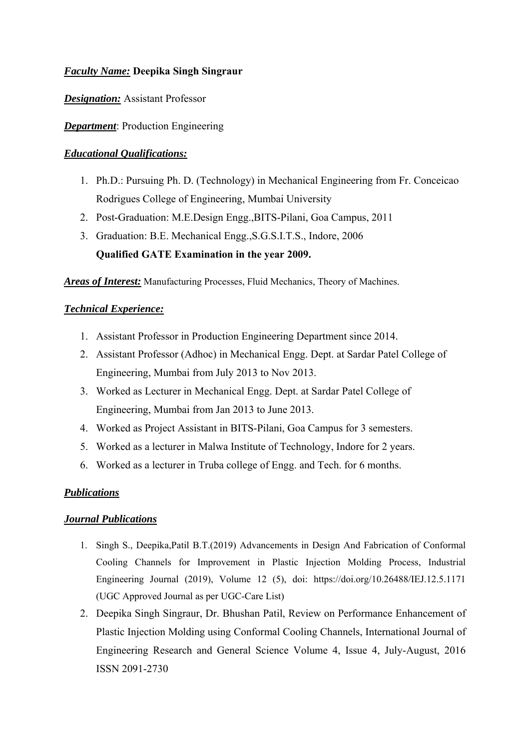## *Faculty Name:* **Deepika Singh Singraur**

*Designation:* Assistant Professor

*Department*: Production Engineering

## *Educational Qualifications:*

- 1. Ph.D.: Pursuing Ph. D. (Technology) in Mechanical Engineering from Fr. Conceicao Rodrigues College of Engineering, Mumbai University
- 2. Post-Graduation: M.E.Design Engg.,BITS-Pilani, Goa Campus, 2011
- 3. Graduation: B.E. Mechanical Engg.,S.G.S.I.T.S., Indore, 2006 **Qualified GATE Examination in the year 2009.**

*Areas of Interest:* Manufacturing Processes, Fluid Mechanics, Theory of Machines.

## *Technical Experience:*

- 1. Assistant Professor in Production Engineering Department since 2014.
- 2. Assistant Professor (Adhoc) in Mechanical Engg. Dept. at Sardar Patel College of Engineering, Mumbai from July 2013 to Nov 2013.
- 3. Worked as Lecturer in Mechanical Engg. Dept. at Sardar Patel College of Engineering, Mumbai from Jan 2013 to June 2013.
- 4. Worked as Project Assistant in BITS-Pilani, Goa Campus for 3 semesters.
- 5. Worked as a lecturer in Malwa Institute of Technology, Indore for 2 years.
- 6. Worked as a lecturer in Truba college of Engg. and Tech. for 6 months.

#### *Publications*

#### *Journal Publications*

- 1. Singh S., Deepika,Patil B.T.(2019) Advancements in Design And Fabrication of Conformal Cooling Channels for Improvement in Plastic Injection Molding Process, Industrial Engineering Journal (2019), Volume 12 (5), doi: https://doi.org/10.26488/IEJ.12.5.1171 (UGC Approved Journal as per UGC-Care List)
- 2. Deepika Singh Singraur, Dr. Bhushan Patil, Review on Performance Enhancement of Plastic Injection Molding using Conformal Cooling Channels, International Journal of Engineering Research and General Science Volume 4, Issue 4, July-August, 2016 ISSN 2091-2730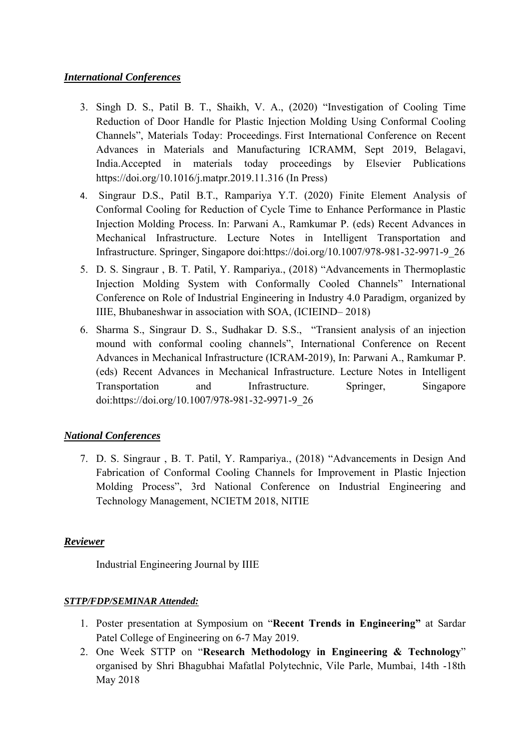## *International Conferences*

- 3. Singh D. S., Patil B. T., Shaikh, V. A., (2020) "Investigation of Cooling Time Reduction of Door Handle for Plastic Injection Molding Using Conformal Cooling Channels", Materials Today: Proceedings. First International Conference on Recent Advances in Materials and Manufacturing ICRAMM, Sept 2019, Belagavi, India.Accepted in materials today proceedings by Elsevier Publications https://doi.org/10.1016/j.matpr.2019.11.316 (In Press)
- 4. Singraur D.S., Patil B.T., Rampariya Y.T. (2020) Finite Element Analysis of Conformal Cooling for Reduction of Cycle Time to Enhance Performance in Plastic Injection Molding Process. In: Parwani A., Ramkumar P. (eds) Recent Advances in Mechanical Infrastructure. Lecture Notes in Intelligent Transportation and Infrastructure. Springer, Singapore doi:https://doi.org/10.1007/978-981-32-9971-9\_26
- 5. D. S. Singraur , B. T. Patil, Y. Rampariya., (2018) "Advancements in Thermoplastic Injection Molding System with Conformally Cooled Channels" International Conference on Role of Industrial Engineering in Industry 4.0 Paradigm, organized by IIIE, Bhubaneshwar in association with SOA, (ICIEIND– 2018)
- 6. Sharma S., Singraur D. S., Sudhakar D. S.S., "Transient analysis of an injection mound with conformal cooling channels", International Conference on Recent Advances in Mechanical Infrastructure (ICRAM-2019), In: Parwani A., Ramkumar P. (eds) Recent Advances in Mechanical Infrastructure. Lecture Notes in Intelligent Transportation and Infrastructure. Springer, Singapore doi:https://doi.org/10.1007/978-981-32-9971-9\_26

# *National Conferences*

7. D. S. Singraur , B. T. Patil, Y. Rampariya., (2018) "Advancements in Design And Fabrication of Conformal Cooling Channels for Improvement in Plastic Injection Molding Process", 3rd National Conference on Industrial Engineering and Technology Management, NCIETM 2018, NITIE

# *Reviewer*

Industrial Engineering Journal by IIIE

#### *STTP/FDP/SEMINAR Attended:*

- 1. Poster presentation at Symposium on "**Recent Trends in Engineering"** at Sardar Patel College of Engineering on 6-7 May 2019.
- 2. One Week STTP on "**Research Methodology in Engineering & Technology**" organised by Shri Bhagubhai Mafatlal Polytechnic, Vile Parle, Mumbai, 14th -18th May 2018